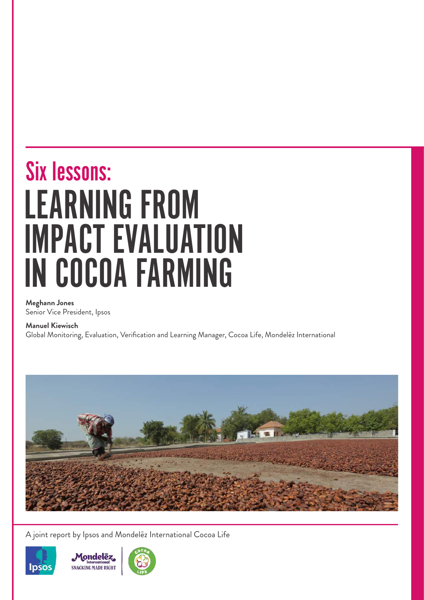### LEARNING FROM IMPACT EVALUATION IN COCOA FARMING Six lessons:

**Meghann Jones** Senior Vice President, Ipsos

**Manuel Kiewisch**

Global Monitoring, Evaluation, Verification and Learning Manager, Cocoa Life, Mondelēz International



A joint report by Ipsos and Mondelēz International Cocoa Life





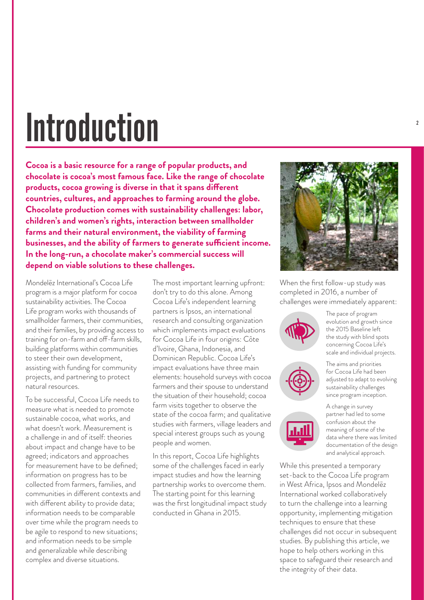## Introduction

**Cocoa is a basic resource for a range of popular products, and chocolate is cocoa's most famous face. Like the range of chocolate products, cocoa growing is diverse in that it spans different countries, cultures, and approaches to farming around the globe. Chocolate production comes with sustainability challenges: labor, children's and women's rights, interaction between smallholder farms and their natural environment, the viability of farming businesses, and the ability of farmers to generate sufficient income. In the long-run, a chocolate maker's commercial success will depend on viable solutions to these challenges.** 

Mondelēz International's Cocoa Life program is a major platform for cocoa sustainability activities. The Cocoa Life program works with thousands of smallholder farmers, their communities, and their families, by providing access to training for on-farm and off-farm skills, building platforms within communities to steer their own development, assisting with funding for community projects, and partnering to protect natural resources.

To be successful, Cocoa Life needs to measure what is needed to promote sustainable cocoa, what works, and what doesn't work. Measurement is a challenge in and of itself: theories about impact and change have to be agreed; indicators and approaches for measurement have to be defined; information on progress has to be collected from farmers, families, and communities in different contexts and with different ability to provide data; information needs to be comparable over time while the program needs to be agile to respond to new situations; and information needs to be simple and generalizable while describing complex and diverse situations.

The most important learning upfront: don't try to do this alone. Among Cocoa Life's independent learning partners is Ipsos, an international research and consulting organization which implements impact evaluations for Cocoa Life in four origins: Côte d'Ivoire, Ghana, Indonesia, and Dominican Republic. Cocoa Life's impact evaluations have three main elements: household surveys with cocoa farmers and their spouse to understand the situation of their household; cocoa farm visits together to observe the state of the cocoa farm; and qualitative studies with farmers, village leaders and special interest groups such as young people and women.

In this report, Cocoa Life highlights some of the challenges faced in early impact studies and how the learning partnership works to overcome them. The starting point for this learning was the first longitudinal impact study conducted in Ghana in 2015.



When the first follow-up study was completed in 2016, a number of challenges were immediately apparent:





The pace of program evolution and growth since the 2015 Baseline left the study with blind spots concerning Cocoa Life's scale and individual projects.

The aims and priorities for Cocoa Life had been adjusted to adapt to evolving sustainability challenges since program inception.



A change in survey partner had led to some confusion about the meaning of some of the data where there was limited documentation of the design and analytical approach.

While this presented a temporary set-back to the Cocoa Life program in West Africa, Ipsos and Mondelēz International worked collaboratively to turn the challenge into a learning opportunity, implementing mitigation techniques to ensure that these challenges did not occur in subsequent studies. By publishing this article, we hope to help others working in this space to safeguard their research and the integrity of their data.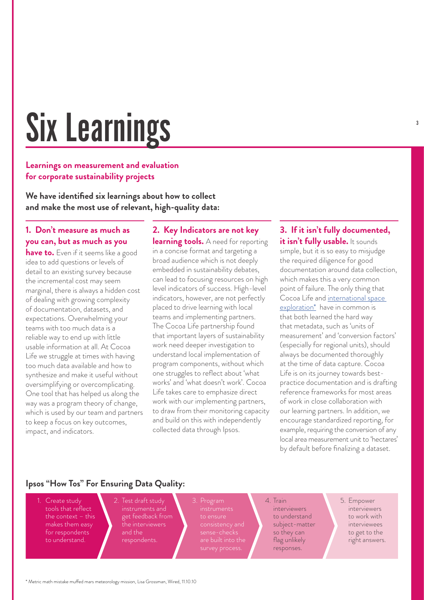# Six Learnings

#### **Learnings on measurement and evaluation for corporate sustainability projects**

**We have identified six learnings about how to collect and make the most use of relevant, high-quality data:**

#### **1. Don't measure as much as you can, but as much as you**

**have to.** Even if it seems like a good idea to add questions or levels of detail to an existing survey because the incremental cost may seem marginal, there is always a hidden cost of dealing with growing complexity of documentation, datasets, and expectations. Overwhelming your teams with too much data is a reliable way to end up with little usable information at all. At Cocoa Life we struggle at times with having too much data available and how to synthesize and make it useful without oversimplifying or overcomplicating. One tool that has helped us along the way was a program theory of change, which is used by our team and partners to keep a focus on key outcomes, impact, and indicators.

#### **2. Key Indicators are not key**

**learning tools.** A need for reporting in a concise format and targeting a broad audience which is not deeply embedded in sustainability debates, can lead to focusing resources on high level indicators of success. High-level indicators, however, are not perfectly placed to drive learning with local teams and implementing partners. The Cocoa Life partnership found that important layers of sustainability work need deeper investigation to understand local implementation of program components, without which one struggles to reflect about 'what works' and 'what doesn't work'. Cocoa Life takes care to emphasize direct work with our implementing partners, to draw from their monitoring capacity and build on this with independently collected data through Ipsos.

#### **3. If it isn't fully documented,**  it isn't fully usable. It sounds simple, but it is so easy to misjudge the required diligence for good documentation around data collection, which makes this a very common point of failure. The only thing that Cocoa Life and international space exploration\* have in common is that both learned the hard way that metadata, such as 'units of measurement' and 'conversion factors' (especially for regional units), should always be documented thoroughly at the time of data capture. Cocoa Life is on its journey towards bestpractice documentation and is drafting reference frameworks for most areas

of work in close collaboration with our learning partners. In addition, we encourage standardized reporting, for example, requiring the conversion of any local area measurement unit to 'hectares' by default before finalizing a dataset.

#### **Ipsos "How Tos" For Ensuring Data Quality:**

- 1. Create study tools that reflect the context – this makes them easy for respondents to understand.
- get feedback from
- 
- 4. Train interviewers to understand subject-matter so they can flag unlikely responses.
- 5. Empower interviewers to work with interviewees to get to the right answers.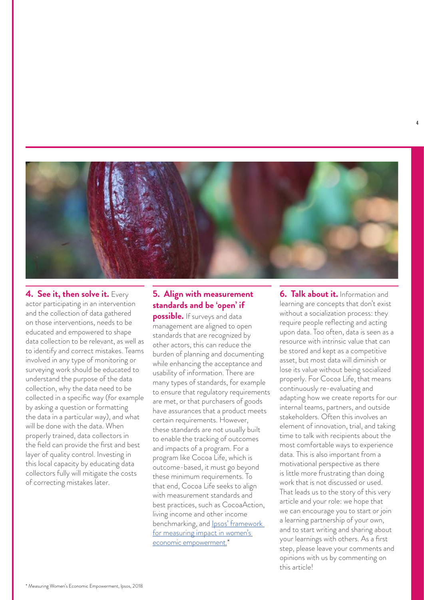

**4. See it, then solve it.** Every actor participating in an intervention and the collection of data gathered on those interventions, needs to be educated and empowered to shape data collection to be relevant, as well as to identify and correct mistakes. Teams involved in any type of monitoring or surveying work should be educated to understand the purpose of the data collection, why the data need to be collected in a specific way (for example by asking a question or formatting the data in a particular way), and what will be done with the data. When properly trained, data collectors in the field can provide the first and best layer of quality control. Investing in this local capacity by educating data collectors fully will mitigate the costs of correcting mistakes later.

#### **5. Align with measurement standards and be 'open' if**

**possible.** If surveys and data management are aligned to open standards that are recognized by other actors, this can reduce the burden of planning and documenting while enhancing the acceptance and usability of information. There are many types of standards, for example to ensure that regulatory requirements are met, or that purchasers of goods have assurances that a product meets certain requirements. However, these standards are not usually built to enable the tracking of outcomes and impacts of a program. For a program like Cocoa Life, which is outcome-based, it must go beyond these minimum requirements. To that end, Cocoa Life seeks to align with measurement standards and best practices, such as CocoaAction, living income and other income benchmarking, and **Ipsos'** framework for measuring impact in women's economic empowerment.<sup>\*</sup>

**6. Talk about it.** Information and learning are concepts that don't exist without a socialization process: they require people reflecting and acting upon data. Too often, data is seen as a resource with intrinsic value that can be stored and kept as a competitive asset, but most data will diminish or lose its value without being socialized properly. For Cocoa Life, that means continuously re-evaluating and adapting how we create reports for our internal teams, partners, and outside stakeholders. Often this involves an element of innovation, trial, and taking time to talk with recipients about the most comfortable ways to experience data. This is also important from a motivational perspective as there is little more frustrating than doing work that is not discussed or used. That leads us to the story of this very article and your role: we hope that we can encourage you to start or join a learning partnership of your own, and to start writing and sharing about your learnings with others. As a first step, please leave your comments and opinions with us by commenting on this article!

4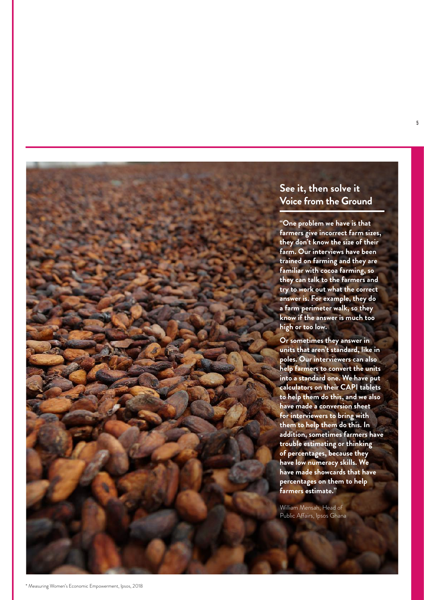#### **See it, then solve it Voice from the Ground**

**"One problem we have is that farmers give incorrect farm sizes, they don't know the size of their farm. Our interviews have been trained on farming and they are familiar with cocoa farming, so they can talk to the farmers and try to work out what the correct answer is. For example, they do a farm perimeter walk, so they know if the answer is much too high or too low.**

**Or sometimes they answer in units that aren't standard, like in poles. Our interviewers can also help farmers to convert the units into a standard one. We have put calculators on their CAPI tablets to help them do this, and we also have made a conversion sheet for interviewers to bring with them to help them do this. In addition, sometimes farmers have trouble estimating or thinking of percentages, because they have low numeracy skills. We have made showcards that have percentages on them to help farmers estimate."** 

William Mensah, Head of Public Affairs, Ipsos Ghana